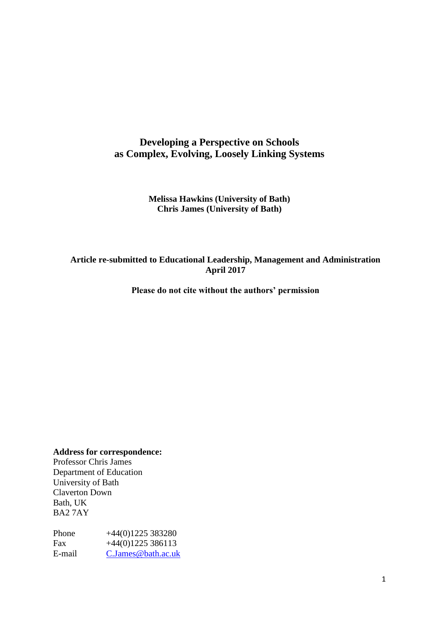# **Developing a Perspective on Schools as Complex, Evolving, Loosely Linking Systems**

#### **Melissa Hawkins (University of Bath) Chris James (University of Bath)**

## **Article re-submitted to Educational Leadership, Management and Administration April 2017**

**Please do not cite without the authors' permission**

**Address for correspondence:**

Professor Chris James Department of Education University of Bath Claverton Down Bath, UK BA2 7AY

Phone +44(0)1225 383280 Fax  $+44(0)1225386113$ E-mail [C.James@bath.ac.uk](mailto:C.James@bath.ac.uk)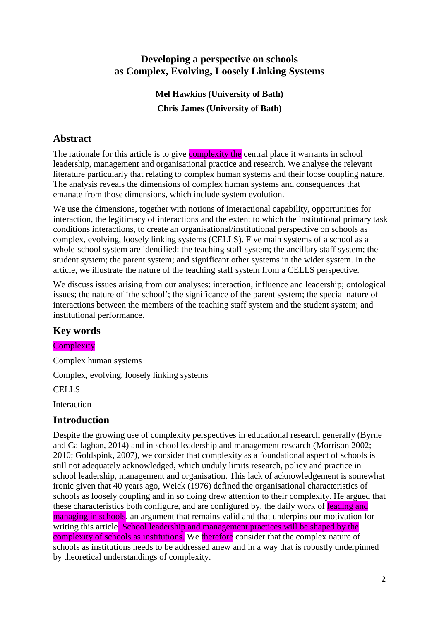# **Developing a perspective on schools as Complex, Evolving, Loosely Linking Systems**

**Mel Hawkins (University of Bath) Chris James (University of Bath)**

# **Abstract**

The rationale for this article is to give **complexity the** central place it warrants in school leadership, management and organisational practice and research. We analyse the relevant literature particularly that relating to complex human systems and their loose coupling nature. The analysis reveals the dimensions of complex human systems and consequences that emanate from those dimensions, which include system evolution.

We use the dimensions, together with notions of interactional capability, opportunities for interaction, the legitimacy of interactions and the extent to which the institutional primary task conditions interactions, to create an organisational/institutional perspective on schools as complex, evolving, loosely linking systems (CELLS). Five main systems of a school as a whole-school system are identified: the teaching staff system; the ancillary staff system; the student system; the parent system; and significant other systems in the wider system. In the article, we illustrate the nature of the teaching staff system from a CELLS perspective.

We discuss issues arising from our analyses: interaction, influence and leadership; ontological issues; the nature of 'the school'; the significance of the parent system; the special nature of interactions between the members of the teaching staff system and the student system; and institutional performance.

# **Key words**

**Complexity** 

Complex human systems

Complex, evolving, loosely linking systems

CELLS

Interaction

# **Introduction**

Despite the growing use of complexity perspectives in educational research generally (Byrne and Callaghan, 2014) and in school leadership and management research (Morrison 2002; 2010; Goldspink, 2007), we consider that complexity as a foundational aspect of schools is still not adequately acknowledged, which unduly limits research, policy and practice in school leadership, management and organisation. This lack of acknowledgement is somewhat ironic given that 40 years ago, Weick (1976) defined the organisational characteristics of schools as loosely coupling and in so doing drew attention to their complexity. He argued that these characteristics both configure, and are configured by, the daily work of leading and managing in schools, an argument that remains valid and that underpins our motivation for writing this article. School leadership and management practices will be shaped by the complexity of schools as institutions. We therefore consider that the complex nature of schools as institutions needs to be addressed anew and in a way that is robustly underpinned by theoretical understandings of complexity.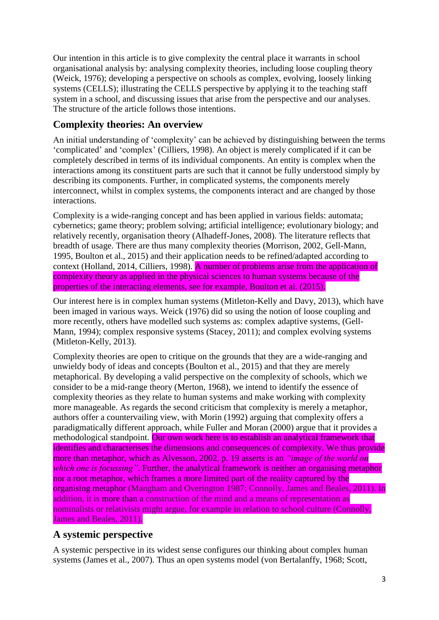Our intention in this article is to give complexity the central place it warrants in school organisational analysis by: analysing complexity theories, including loose coupling theory (Weick, 1976); developing a perspective on schools as complex, evolving, loosely linking systems (CELLS); illustrating the CELLS perspective by applying it to the teaching staff system in a school, and discussing issues that arise from the perspective and our analyses. The structure of the article follows those intentions.

# **Complexity theories: An overview**

An initial understanding of 'complexity' can be achieved by distinguishing between the terms 'complicated' and 'complex' (Cilliers, 1998). An object is merely complicated if it can be completely described in terms of its individual components. An entity is complex when the interactions among its constituent parts are such that it cannot be fully understood simply by describing its components. Further, in complicated systems, the components merely interconnect, whilst in complex systems, the components interact and are changed by those interactions.

Complexity is a wide-ranging concept and has been applied in various fields: automata; cybernetics; game theory; problem solving; artificial intelligence; evolutionary biology; and relatively recently, organisation theory (Alhadeff-Jones, 2008). The literature reflects that breadth of usage. There are thus many complexity theories (Morrison, 2002, Gell-Mann, 1995, Boulton et al., 2015) and their application needs to be refined/adapted according to context (Holland, 2014, Cilliers, 1998). A number of problems arise from the application of complexity theory as applied in the physical sciences to human systems because of the properties of the interacting elements, see for example, Boulton et al. (2015).

Our interest here is in complex human systems (Mitleton-Kelly and Davy, 2013), which have been imaged in various ways. Weick (1976) did so using the notion of loose coupling and more recently, others have modelled such systems as: complex adaptive systems, (Gell-Mann, 1994); complex responsive systems (Stacey, 2011); and complex evolving systems (Mitleton-Kelly, 2013).

Complexity theories are open to critique on the grounds that they are a wide-ranging and unwieldy body of ideas and concepts (Boulton et al., 2015) and that they are merely metaphorical. By developing a valid perspective on the complexity of schools, which we consider to be a mid-range theory (Merton, 1968), we intend to identify the essence of complexity theories as they relate to human systems and make working with complexity more manageable. As regards the second criticism that complexity is merely a metaphor, authors offer a countervailing view, with Morin (1992) arguing that complexity offers a paradigmatically different approach, while Fuller and Moran (2000) argue that it provides a methodological standpoint. Our own work here is to establish an analytical framework that identifies and characterises the dimensions and consequences of complexity. We thus provide more than metaphor, which as Alvesson, 2002, p. 19 asserts is an *"image of the world on which one is focussing"*. Further, the analytical framework is neither an organising metaphor nor a root metaphor, which frames a more limited part of the reality captured by the organising metaphor (Mangham and Overington 1987; Connolly, James and Beales, 2011). In addition, it is more than a construction of the mind and a means of representation as nominalists or relativists might argue, for example in relation to school culture (Connolly, James and Beales, 2011).

# **A systemic perspective**

A systemic perspective in its widest sense configures our thinking about complex human systems (James et al., 2007). Thus an open systems model (von Bertalanffy, 1968; Scott,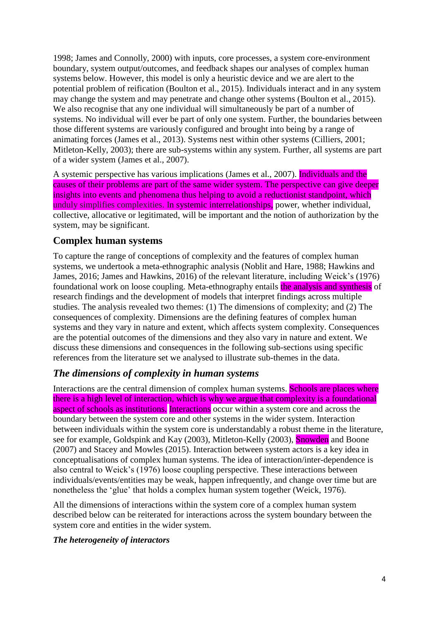1998; James and Connolly, 2000) with inputs, core processes, a system core-environment boundary, system output/outcomes, and feedback shapes our analyses of complex human systems below. However, this model is only a heuristic device and we are alert to the potential problem of reification (Boulton et al., 2015). Individuals interact and in any system may change the system and may penetrate and change other systems (Boulton et al., 2015). We also recognise that any one individual will simultaneously be part of a number of systems. No individual will ever be part of only one system. Further, the boundaries between those different systems are variously configured and brought into being by a range of animating forces (James et al., 2013). Systems nest within other systems (Cilliers, 2001; Mitleton-Kelly, 2003); there are sub-systems within any system. Further, all systems are part of a wider system (James et al., 2007).

A systemic perspective has various implications (James et al., 2007). Individuals and the causes of their problems are part of the same wider system. The perspective can give deeper insights into events and phenomena thus helping to avoid a reductionist standpoint, which unduly simplifies complexities. In systemic interrelationships, power, whether individual, collective, allocative or legitimated, will be important and the notion of authorization by the system, may be significant.

# **Complex human systems**

To capture the range of conceptions of complexity and the features of complex human systems, we undertook a meta-ethnographic analysis (Noblit and Hare, 1988; Hawkins and James, 2016; James and Hawkins, 2016) of the relevant literature, including Weick's (1976) foundational work on loose coupling. Meta-ethnography entails the analysis and synthesis of research findings and the development of models that interpret findings across multiple studies. The analysis revealed two themes: (1) The dimensions of complexity; and (2) The consequences of complexity. Dimensions are the defining features of complex human systems and they vary in nature and extent, which affects system complexity. Consequences are the potential outcomes of the dimensions and they also vary in nature and extent. We discuss these dimensions and consequences in the following sub-sections using specific references from the literature set we analysed to illustrate sub-themes in the data.

# *The dimensions of complexity in human systems*

Interactions are the central dimension of complex human systems. Schools are places where there is a high level of interaction, which is why we argue that complexity is a foundational aspect of schools as institutions. Interactions occur within a system core and across the boundary between the system core and other systems in the wider system. Interaction between individuals within the system core is understandably a robust theme in the literature, see for example, Goldspink and Kay (2003), Mitleton-Kelly (2003), Snowden and Boone (2007) and Stacey and Mowles (2015). Interaction between system actors is a key idea in conceptualisations of complex human systems. The idea of interaction/inter-dependence is also central to Weick's (1976) loose coupling perspective. These interactions between individuals/events/entities may be weak, happen infrequently, and change over time but are nonetheless the 'glue' that holds a complex human system together (Weick, 1976).

All the dimensions of interactions within the system core of a complex human system described below can be reiterated for interactions across the system boundary between the system core and entities in the wider system.

#### *The heterogeneity of interactors*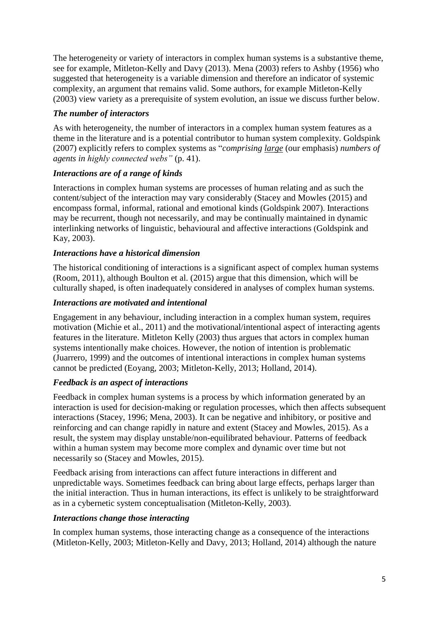The heterogeneity or variety of interactors in complex human systems is a substantive theme, see for example, Mitleton-Kelly and Davy (2013). Mena (2003) refers to Ashby (1956) who suggested that heterogeneity is a variable dimension and therefore an indicator of systemic complexity, an argument that remains valid. Some authors, for example Mitleton-Kelly (2003) view variety as a prerequisite of system evolution, an issue we discuss further below.

## *The number of interactors*

As with heterogeneity, the number of interactors in a complex human system features as a theme in the literature and is a potential contributor to human system complexity. Goldspink (2007) explicitly refers to complex systems as "*comprising large* (our emphasis) *numbers of agents in highly connected webs"* (p. 41).

## *Interactions are of a range of kinds*

Interactions in complex human systems are processes of human relating and as such the content/subject of the interaction may vary considerably (Stacey and Mowles (2015) and encompass formal, informal, rational and emotional kinds (Goldspink 2007). Interactions may be recurrent, though not necessarily, and may be continually maintained in dynamic interlinking networks of linguistic, behavioural and affective interactions (Goldspink and Kay, 2003).

## *Interactions have a historical dimension*

The historical conditioning of interactions is a significant aspect of complex human systems (Room, 2011), although Boulton et al. (2015) argue that this dimension, which will be culturally shaped, is often inadequately considered in analyses of complex human systems.

## *Interactions are motivated and intentional*

Engagement in any behaviour, including interaction in a complex human system, requires motivation (Michie et al., 2011) and the motivational/intentional aspect of interacting agents features in the literature. Mitleton Kelly (2003) thus argues that actors in complex human systems intentionally make choices. However, the notion of intention is problematic (Juarrero, 1999) and the outcomes of intentional interactions in complex human systems cannot be predicted (Eoyang, 2003; Mitleton-Kelly, 2013; Holland, 2014).

# *Feedback is an aspect of interactions*

Feedback in complex human systems is a process by which information generated by an interaction is used for decision-making or regulation processes, which then affects subsequent interactions (Stacey, 1996; Mena, 2003). It can be negative and inhibitory, or positive and reinforcing and can change rapidly in nature and extent (Stacey and Mowles, 2015). As a result, the system may display unstable/non-equilibrated behaviour. Patterns of feedback within a human system may become more complex and dynamic over time but not necessarily so (Stacey and Mowles, 2015).

Feedback arising from interactions can affect future interactions in different and unpredictable ways. Sometimes feedback can bring about large effects, perhaps larger than the initial interaction. Thus in human interactions, its effect is unlikely to be straightforward as in a cybernetic system conceptualisation (Mitleton-Kelly, 2003).

### *Interactions change those interacting*

In complex human systems, those interacting change as a consequence of the interactions (Mitleton-Kelly, 2003; Mitleton-Kelly and Davy, 2013; Holland, 2014) although the nature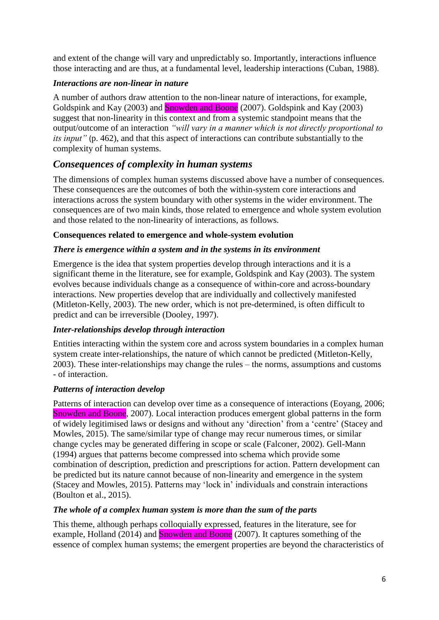and extent of the change will vary and unpredictably so. Importantly, interactions influence those interacting and are thus, at a fundamental level, leadership interactions (Cuban, 1988).

### *Interactions are non-linear in nature*

A number of authors draw attention to the non-linear nature of interactions, for example, Goldspink and Kay (2003) and **Snowden and Boone** (2007). Goldspink and Kay (2003) suggest that non-linearity in this context and from a systemic standpoint means that the output/outcome of an interaction *"will vary in a manner which is not directly proportional to its input"* (p. 462), and that this aspect of interactions can contribute substantially to the complexity of human systems.

# *Consequences of complexity in human systems*

The dimensions of complex human systems discussed above have a number of consequences. These consequences are the outcomes of both the within-system core interactions and interactions across the system boundary with other systems in the wider environment. The consequences are of two main kinds, those related to emergence and whole system evolution and those related to the non-linearity of interactions, as follows.

## **Consequences related to emergence and whole-system evolution**

## *There is emergence within a system and in the systems in its environment*

Emergence is the idea that system properties develop through interactions and it is a significant theme in the literature, see for example, Goldspink and Kay (2003). The system evolves because individuals change as a consequence of within-core and across-boundary interactions. New properties develop that are individually and collectively manifested (Mitleton-Kelly, 2003). The new order, which is not pre-determined, is often difficult to predict and can be irreversible (Dooley, 1997).

# *Inter-relationships develop through interaction*

Entities interacting within the system core and across system boundaries in a complex human system create inter-relationships, the nature of which cannot be predicted (Mitleton-Kelly, 2003). These inter-relationships may change the rules – the norms, assumptions and customs - of interaction.

### *Patterns of interaction develop*

Patterns of interaction can develop over time as a consequence of interactions (Eoyang, 2006; Snowden and Boone, 2007). Local interaction produces emergent global patterns in the form of widely legitimised laws or designs and without any 'direction' from a 'centre' (Stacey and Mowles, 2015). The same/similar type of change may recur numerous times, or similar change cycles may be generated differing in scope or scale (Falconer, 2002). Gell-Mann (1994) argues that patterns become compressed into schema which provide some combination of description, prediction and prescriptions for action. Pattern development can be predicted but its nature cannot because of non-linearity and emergence in the system (Stacey and Mowles, 2015). Patterns may 'lock in' individuals and constrain interactions (Boulton et al., 2015).

### *The whole of a complex human system is more than the sum of the parts*

This theme, although perhaps colloquially expressed, features in the literature, see for example, Holland (2014) and **Snowden and Boone** (2007). It captures something of the essence of complex human systems; the emergent properties are beyond the characteristics of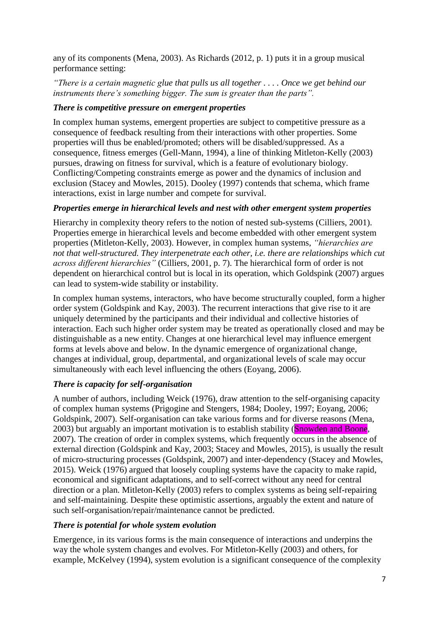any of its components (Mena, 2003). As Richards (2012, p. 1) puts it in a group musical performance setting:

*"There is a certain magnetic glue that pulls us all together . . . . Once we get behind our instruments there's something bigger. The sum is greater than the parts".* 

#### *There is competitive pressure on emergent properties*

In complex human systems, emergent properties are subject to competitive pressure as a consequence of feedback resulting from their interactions with other properties. Some properties will thus be enabled/promoted; others will be disabled/suppressed. As a consequence, fitness emerges (Gell-Mann, 1994), a line of thinking Mitleton-Kelly (2003) pursues, drawing on fitness for survival, which is a feature of evolutionary biology. Conflicting/Competing constraints emerge as power and the dynamics of inclusion and exclusion (Stacey and Mowles, 2015). Dooley (1997) contends that schema, which frame interactions, exist in large number and compete for survival.

#### *Properties emerge in hierarchical levels and nest with other emergent system properties*

Hierarchy in complexity theory refers to the notion of nested sub-systems (Cilliers, 2001). Properties emerge in hierarchical levels and become embedded with other emergent system properties (Mitleton-Kelly, 2003). However, in complex human systems, *"hierarchies are not that well-structured. They interpenetrate each other, i.e. there are relationships which cut across different hierarchies"* (Cilliers, 2001, p. 7). The hierarchical form of order is not dependent on hierarchical control but is local in its operation, which Goldspink (2007) argues can lead to system-wide stability or instability.

In complex human systems, interactors, who have become structurally coupled, form a higher order system (Goldspink and Kay, 2003). The recurrent interactions that give rise to it are uniquely determined by the participants and their individual and collective histories of interaction. Each such higher order system may be treated as operationally closed and may be distinguishable as a new entity. Changes at one hierarchical level may influence emergent forms at levels above and below. In the dynamic emergence of organizational change, changes at individual, group, departmental, and organizational levels of scale may occur simultaneously with each level influencing the others (Eoyang, 2006).

### *There is capacity for self-organisation*

A number of authors, including Weick (1976), draw attention to the self-organising capacity of complex human systems (Prigogine and Stengers, 1984; Dooley, 1997; Eoyang, 2006; Goldspink, 2007). Self-organisation can take various forms and for diverse reasons (Mena, 2003) but arguably an important motivation is to establish stability (Snowden and Boone, 2007). The creation of order in complex systems, which frequently occurs in the absence of external direction (Goldspink and Kay, 2003; Stacey and Mowles, 2015), is usually the result of micro-structuring processes (Goldspink, 2007) and inter-dependency (Stacey and Mowles, 2015). Weick (1976) argued that loosely coupling systems have the capacity to make rapid, economical and significant adaptations, and to self-correct without any need for central direction or a plan. Mitleton-Kelly (2003) refers to complex systems as being self-repairing and self-maintaining. Despite these optimistic assertions, arguably the extent and nature of such self-organisation/repair/maintenance cannot be predicted.

### *There is potential for whole system evolution*

Emergence, in its various forms is the main consequence of interactions and underpins the way the whole system changes and evolves. For Mitleton-Kelly (2003) and others, for example, McKelvey (1994), system evolution is a significant consequence of the complexity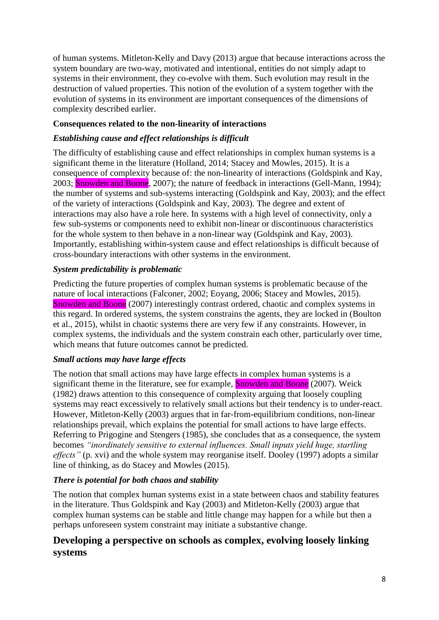of human systems. Mitleton-Kelly and Davy (2013) argue that because interactions across the system boundary are two-way, motivated and intentional, entities do not simply adapt to systems in their environment, they co-evolve with them. Such evolution may result in the destruction of valued properties. This notion of the evolution of a system together with the evolution of systems in its environment are important consequences of the dimensions of complexity described earlier.

## **Consequences related to the non-linearity of interactions**

### *Establishing cause and effect relationships is difficult*

The difficulty of establishing cause and effect relationships in complex human systems is a significant theme in the literature (Holland, 2014; Stacey and Mowles, 2015). It is a consequence of complexity because of: the non-linearity of interactions (Goldspink and Kay, 2003; **Snowden and Boone**, 2007); the nature of feedback in interactions (Gell-Mann, 1994); the number of systems and sub-systems interacting (Goldspink and Kay, 2003); and the effect of the variety of interactions (Goldspink and Kay, 2003). The degree and extent of interactions may also have a role here. In systems with a high level of connectivity, only a few sub-systems or components need to exhibit non-linear or discontinuous characteristics for the whole system to then behave in a non-linear way (Goldspink and Kay, 2003). Importantly, establishing within-system cause and effect relationships is difficult because of cross-boundary interactions with other systems in the environment.

### *System predictability is problematic*

Predicting the future properties of complex human systems is problematic because of the nature of local interactions (Falconer, 2002; Eoyang, 2006; Stacey and Mowles, 2015). Snowden and Boone (2007) interestingly contrast ordered, chaotic and complex systems in this regard. In ordered systems, the system constrains the agents, they are locked in (Boulton et al., 2015), whilst in chaotic systems there are very few if any constraints. However, in complex systems, the individuals and the system constrain each other, particularly over time, which means that future outcomes cannot be predicted.

### *Small actions may have large effects*

The notion that small actions may have large effects in complex human systems is a significant theme in the literature, see for example, Snowden and Boone (2007). Weick (1982) draws attention to this consequence of complexity arguing that loosely coupling systems may react excessively to relatively small actions but their tendency is to under-react. However, Mitleton-Kelly (2003) argues that in far-from-equilibrium conditions, non-linear relationships prevail, which explains the potential for small actions to have large effects. Referring to Prigogine and Stengers (1985), she concludes that as a consequence, the system becomes *"inordinately sensitive to external influences. Small inputs yield huge, startling effects*" (p. xvi) and the whole system may reorganise itself. Dooley (1997) adopts a similar line of thinking, as do Stacey and Mowles (2015).

### *There is potential for both chaos and stability*

The notion that complex human systems exist in a state between chaos and stability features in the literature. Thus Goldspink and Kay (2003) and Mitleton-Kelly (2003) argue that complex human systems can be stable and little change may happen for a while but then a perhaps unforeseen system constraint may initiate a substantive change.

# **Developing a perspective on schools as complex, evolving loosely linking systems**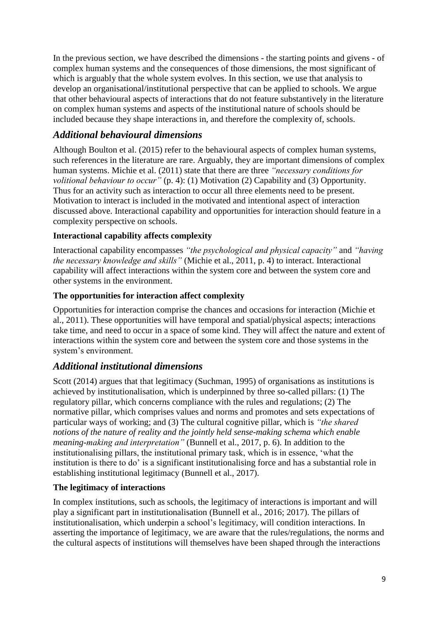In the previous section, we have described the dimensions - the starting points and givens - of complex human systems and the consequences of those dimensions, the most significant of which is arguably that the whole system evolves. In this section, we use that analysis to develop an organisational/institutional perspective that can be applied to schools. We argue that other behavioural aspects of interactions that do not feature substantively in the literature on complex human systems and aspects of the institutional nature of schools should be included because they shape interactions in, and therefore the complexity of, schools.

# *Additional behavioural dimensions*

Although Boulton et al. (2015) refer to the behavioural aspects of complex human systems, such references in the literature are rare. Arguably, they are important dimensions of complex human systems. Michie et al. (2011) state that there are three *"necessary conditions for volitional behaviour to occur*" (p. 4): (1) Motivation (2) Capability and (3) Opportunity. Thus for an activity such as interaction to occur all three elements need to be present. Motivation to interact is included in the motivated and intentional aspect of interaction discussed above. Interactional capability and opportunities for interaction should feature in a complexity perspective on schools.

# **Interactional capability affects complexity**

Interactional capability encompasses *"the psychological and physical capacity"* and *"having the necessary knowledge and skills"* (Michie et al., 2011, p. 4) to interact. Interactional capability will affect interactions within the system core and between the system core and other systems in the environment.

## **The opportunities for interaction affect complexity**

Opportunities for interaction comprise the chances and occasions for interaction (Michie et al., 2011). These opportunities will have temporal and spatial/physical aspects; interactions take time, and need to occur in a space of some kind. They will affect the nature and extent of interactions within the system core and between the system core and those systems in the system's environment.

# *Additional institutional dimensions*

Scott (2014) argues that that legitimacy (Suchman, 1995) of organisations as institutions is achieved by institutionalisation, which is underpinned by three so-called pillars: (1) The regulatory pillar, which concerns compliance with the rules and regulations; (2) The normative pillar, which comprises values and norms and promotes and sets expectations of particular ways of working; and (3) The cultural cognitive pillar, which is *"the shared notions of the nature of reality and the jointly held sense-making schema which enable meaning-making and interpretation"* (Bunnell et al., 2017, p. 6). In addition to the institutionalising pillars, the institutional primary task, which is in essence, 'what the institution is there to do' is a significant institutionalising force and has a substantial role in establishing institutional legitimacy (Bunnell et al., 2017).

### **The legitimacy of interactions**

In complex institutions, such as schools, the legitimacy of interactions is important and will play a significant part in institutionalisation (Bunnell et al., 2016; 2017). The pillars of institutionalisation, which underpin a school's legitimacy, will condition interactions. In asserting the importance of legitimacy, we are aware that the rules/regulations, the norms and the cultural aspects of institutions will themselves have been shaped through the interactions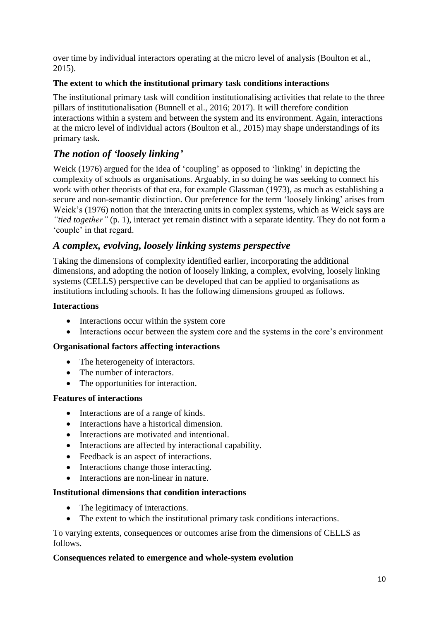over time by individual interactors operating at the micro level of analysis (Boulton et al., 2015).

## **The extent to which the institutional primary task conditions interactions**

The institutional primary task will condition institutionalising activities that relate to the three pillars of institutionalisation (Bunnell et al., 2016; 2017). It will therefore condition interactions within a system and between the system and its environment. Again, interactions at the micro level of individual actors (Boulton et al., 2015) may shape understandings of its primary task.

# *The notion of 'loosely linking'*

Weick (1976) argued for the idea of 'coupling' as opposed to 'linking' in depicting the complexity of schools as organisations. Arguably, in so doing he was seeking to connect his work with other theorists of that era, for example Glassman (1973), as much as establishing a secure and non-semantic distinction. Our preference for the term 'loosely linking' arises from Weick's (1976) notion that the interacting units in complex systems, which as Weick says are *"tied together"* (p. 1), interact yet remain distinct with a separate identity. They do not form a 'couple' in that regard.

# *A complex, evolving, loosely linking systems perspective*

Taking the dimensions of complexity identified earlier, incorporating the additional dimensions, and adopting the notion of loosely linking, a complex, evolving, loosely linking systems (CELLS) perspective can be developed that can be applied to organisations as institutions including schools. It has the following dimensions grouped as follows.

### **Interactions**

- Interactions occur within the system core
- Interactions occur between the system core and the systems in the core's environment

### **Organisational factors affecting interactions**

- The heterogeneity of interactors.
- The number of interactors.
- The opportunities for interaction.

### **Features of interactions**

- Interactions are of a range of kinds.
- Interactions have a historical dimension.
- Interactions are motivated and intentional.
- Interactions are affected by interactional capability.
- Feedback is an aspect of interactions.
- Interactions change those interacting.
- Interactions are non-linear in nature.

#### **Institutional dimensions that condition interactions**

- The legitimacy of interactions.
- The extent to which the institutional primary task conditions interactions.

To varying extents, consequences or outcomes arise from the dimensions of CELLS as follows.

#### **Consequences related to emergence and whole-system evolution**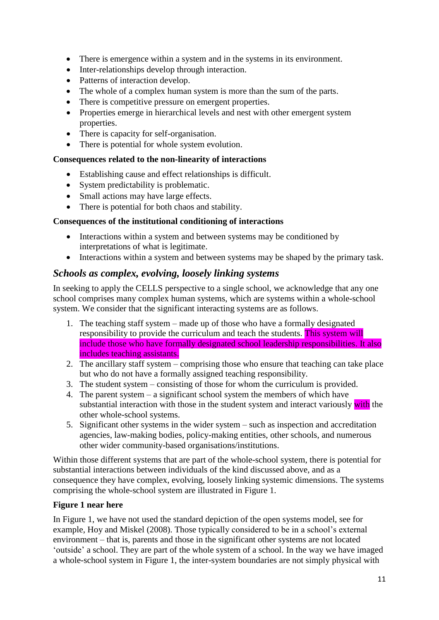- There is emergence within a system and in the systems in its environment.
- Inter-relationships develop through interaction.
- Patterns of interaction develop.
- The whole of a complex human system is more than the sum of the parts.
- There is competitive pressure on emergent properties.
- Properties emerge in hierarchical levels and nest with other emergent system properties.
- There is capacity for self-organisation.
- There is potential for whole system evolution.

### **Consequences related to the non-linearity of interactions**

- Establishing cause and effect relationships is difficult.
- System predictability is problematic.
- Small actions may have large effects.
- There is potential for both chaos and stability.

### **Consequences of the institutional conditioning of interactions**

- Interactions within a system and between systems may be conditioned by interpretations of what is legitimate.
- Interactions within a system and between systems may be shaped by the primary task.

# *Schools as complex, evolving, loosely linking systems*

In seeking to apply the CELLS perspective to a single school, we acknowledge that any one school comprises many complex human systems, which are systems within a whole-school system. We consider that the significant interacting systems are as follows.

- 1. The teaching staff system made up of those who have a formally designated responsibility to provide the curriculum and teach the students. This system will include those who have formally designated school leadership responsibilities. It also includes teaching assistants.
- 2. The ancillary staff system comprising those who ensure that teaching can take place but who do not have a formally assigned teaching responsibility.
- 3. The student system consisting of those for whom the curriculum is provided.
- 4. The parent system a significant school system the members of which have substantial interaction with those in the student system and interact variously with the other whole-school systems.
- 5. Significant other systems in the wider system such as inspection and accreditation agencies, law-making bodies, policy-making entities, other schools, and numerous other wider community-based organisations/institutions.

Within those different systems that are part of the whole-school system, there is potential for substantial interactions between individuals of the kind discussed above, and as a consequence they have complex, evolving, loosely linking systemic dimensions. The systems comprising the whole-school system are illustrated in Figure 1.

### **Figure 1 near here**

In Figure 1, we have not used the standard depiction of the open systems model, see for example, Hoy and Miskel (2008). Those typically considered to be in a school's external environment – that is, parents and those in the significant other systems are not located 'outside' a school. They are part of the whole system of a school. In the way we have imaged a whole-school system in Figure 1, the inter-system boundaries are not simply physical with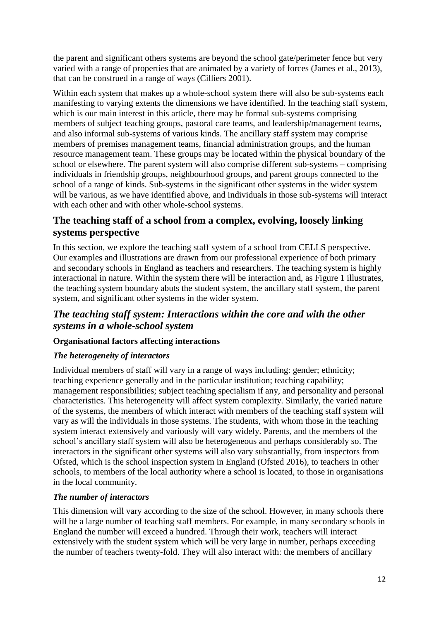the parent and significant others systems are beyond the school gate/perimeter fence but very varied with a range of properties that are animated by a variety of forces (James et al., 2013), that can be construed in a range of ways (Cilliers 2001).

Within each system that makes up a whole-school system there will also be sub-systems each manifesting to varying extents the dimensions we have identified. In the teaching staff system, which is our main interest in this article, there may be formal sub-systems comprising members of subject teaching groups, pastoral care teams, and leadership/management teams, and also informal sub-systems of various kinds. The ancillary staff system may comprise members of premises management teams, financial administration groups, and the human resource management team. These groups may be located within the physical boundary of the school or elsewhere. The parent system will also comprise different sub-systems – comprising individuals in friendship groups, neighbourhood groups, and parent groups connected to the school of a range of kinds. Sub-systems in the significant other systems in the wider system will be various, as we have identified above, and individuals in those sub-systems will interact with each other and with other whole-school systems.

# **The teaching staff of a school from a complex, evolving, loosely linking systems perspective**

In this section, we explore the teaching staff system of a school from CELLS perspective. Our examples and illustrations are drawn from our professional experience of both primary and secondary schools in England as teachers and researchers. The teaching system is highly interactional in nature. Within the system there will be interaction and, as Figure 1 illustrates, the teaching system boundary abuts the student system, the ancillary staff system, the parent system, and significant other systems in the wider system.

# *The teaching staff system: Interactions within the core and with the other systems in a whole-school system*

### **Organisational factors affecting interactions**

# *The heterogeneity of interactors*

Individual members of staff will vary in a range of ways including: gender; ethnicity; teaching experience generally and in the particular institution; teaching capability; management responsibilities; subject teaching specialism if any, and personality and personal characteristics. This heterogeneity will affect system complexity. Similarly, the varied nature of the systems, the members of which interact with members of the teaching staff system will vary as will the individuals in those systems. The students, with whom those in the teaching system interact extensively and variously will vary widely. Parents, and the members of the school's ancillary staff system will also be heterogeneous and perhaps considerably so. The interactors in the significant other systems will also vary substantially, from inspectors from Ofsted, which is the school inspection system in England (Ofsted 2016), to teachers in other schools, to members of the local authority where a school is located, to those in organisations in the local community.

### *The number of interactors*

This dimension will vary according to the size of the school. However, in many schools there will be a large number of teaching staff members. For example, in many secondary schools in England the number will exceed a hundred. Through their work, teachers will interact extensively with the student system which will be very large in number, perhaps exceeding the number of teachers twenty-fold. They will also interact with: the members of ancillary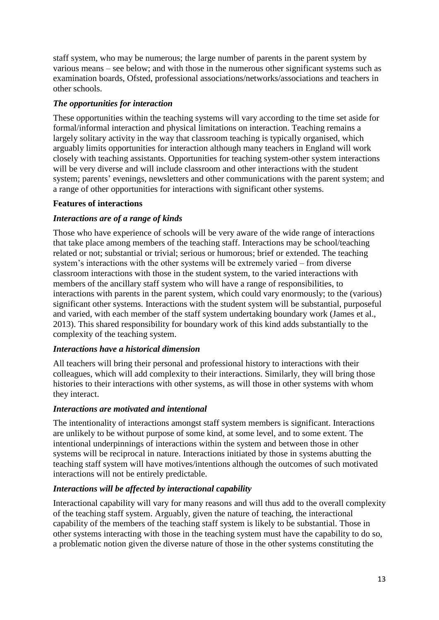staff system, who may be numerous; the large number of parents in the parent system by various means – see below; and with those in the numerous other significant systems such as examination boards, Ofsted, professional associations/networks/associations and teachers in other schools.

## *The opportunities for interaction*

These opportunities within the teaching systems will vary according to the time set aside for formal/informal interaction and physical limitations on interaction. Teaching remains a largely solitary activity in the way that classroom teaching is typically organised, which arguably limits opportunities for interaction although many teachers in England will work closely with teaching assistants. Opportunities for teaching system-other system interactions will be very diverse and will include classroom and other interactions with the student system; parents' evenings, newsletters and other communications with the parent system; and a range of other opportunities for interactions with significant other systems.

## **Features of interactions**

## *Interactions are of a range of kinds*

Those who have experience of schools will be very aware of the wide range of interactions that take place among members of the teaching staff. Interactions may be school/teaching related or not; substantial or trivial; serious or humorous; brief or extended. The teaching system's interactions with the other systems will be extremely varied – from diverse classroom interactions with those in the student system, to the varied interactions with members of the ancillary staff system who will have a range of responsibilities, to interactions with parents in the parent system, which could vary enormously; to the (various) significant other systems. Interactions with the student system will be substantial, purposeful and varied, with each member of the staff system undertaking boundary work (James et al., 2013). This shared responsibility for boundary work of this kind adds substantially to the complexity of the teaching system.

### *Interactions have a historical dimension*

All teachers will bring their personal and professional history to interactions with their colleagues, which will add complexity to their interactions. Similarly, they will bring those histories to their interactions with other systems, as will those in other systems with whom they interact.

### *Interactions are motivated and intentional*

The intentionality of interactions amongst staff system members is significant. Interactions are unlikely to be without purpose of some kind, at some level, and to some extent. The intentional underpinnings of interactions within the system and between those in other systems will be reciprocal in nature. Interactions initiated by those in systems abutting the teaching staff system will have motives/intentions although the outcomes of such motivated interactions will not be entirely predictable.

### *Interactions will be affected by interactional capability*

Interactional capability will vary for many reasons and will thus add to the overall complexity of the teaching staff system. Arguably, given the nature of teaching, the interactional capability of the members of the teaching staff system is likely to be substantial. Those in other systems interacting with those in the teaching system must have the capability to do so, a problematic notion given the diverse nature of those in the other systems constituting the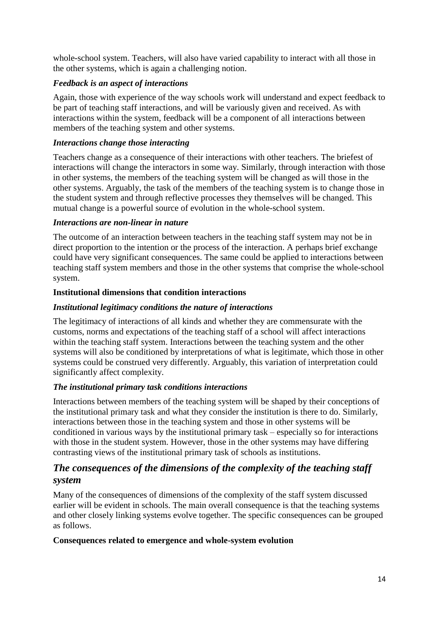whole-school system. Teachers, will also have varied capability to interact with all those in the other systems, which is again a challenging notion.

## *Feedback is an aspect of interactions*

Again, those with experience of the way schools work will understand and expect feedback to be part of teaching staff interactions, and will be variously given and received. As with interactions within the system, feedback will be a component of all interactions between members of the teaching system and other systems.

### *Interactions change those interacting*

Teachers change as a consequence of their interactions with other teachers. The briefest of interactions will change the interactors in some way. Similarly, through interaction with those in other systems, the members of the teaching system will be changed as will those in the other systems. Arguably, the task of the members of the teaching system is to change those in the student system and through reflective processes they themselves will be changed. This mutual change is a powerful source of evolution in the whole-school system.

### *Interactions are non-linear in nature*

The outcome of an interaction between teachers in the teaching staff system may not be in direct proportion to the intention or the process of the interaction. A perhaps brief exchange could have very significant consequences. The same could be applied to interactions between teaching staff system members and those in the other systems that comprise the whole-school system.

### **Institutional dimensions that condition interactions**

### *Institutional legitimacy conditions the nature of interactions*

The legitimacy of interactions of all kinds and whether they are commensurate with the customs, norms and expectations of the teaching staff of a school will affect interactions within the teaching staff system. Interactions between the teaching system and the other systems will also be conditioned by interpretations of what is legitimate, which those in other systems could be construed very differently. Arguably, this variation of interpretation could significantly affect complexity.

### *The institutional primary task conditions interactions*

Interactions between members of the teaching system will be shaped by their conceptions of the institutional primary task and what they consider the institution is there to do. Similarly, interactions between those in the teaching system and those in other systems will be conditioned in various ways by the institutional primary task – especially so for interactions with those in the student system. However, those in the other systems may have differing contrasting views of the institutional primary task of schools as institutions.

# *The consequences of the dimensions of the complexity of the teaching staff system*

Many of the consequences of dimensions of the complexity of the staff system discussed earlier will be evident in schools. The main overall consequence is that the teaching systems and other closely linking systems evolve together. The specific consequences can be grouped as follows.

### **Consequences related to emergence and whole-system evolution**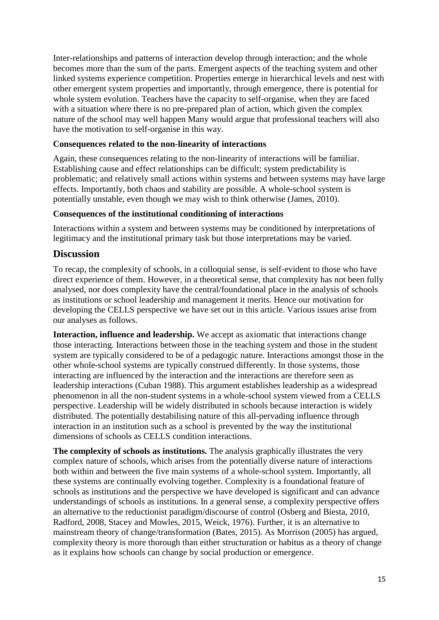Inter-relationships and patterns of interaction develop through interaction; and the whole becomes more than the sum of the parts. Emergent aspects of the teaching system and other linked systems experience competition. Properties emerge in hierarchical levels and nest with other emergent system properties and importantly, through emergence, there is potential for whole system evolution. Teachers have the capacity to self-organise, when they are faced with a situation where there is no pre-prepared plan of action, which given the complex nature of the school may well happen Many would argue that professional teachers will also have the motivation to self-organise in this way.

#### **Consequences related to the non-linearity of interactions**

Again, these consequences relating to the non-linearity of interactions will be familiar. Establishing cause and effect relationships can be difficult; system predictability is problematic; and relatively small actions within systems and between systems may have large effects. Importantly, both chaos and stability are possible. A whole-school system is potentially unstable, even though we may wish to think otherwise (James, 2010).

#### **Consequences of the institutional conditioning of interactions**

Interactions within a system and between systems may be conditioned by interpretations of legitimacy and the institutional primary task but those interpretations may be varied.

# **Discussion**

To recap, the complexity of schools, in a colloquial sense, is self-evident to those who have direct experience of them. However, in a theoretical sense, that complexity has not been fully analysed, nor does complexity have the central/foundational place in the analysis of schools as institutions or school leadership and management it merits. Hence our motivation for developing the CELLS perspective we have set out in this article. Various issues arise from our analyses as follows.

**Interaction, influence and leadership.** We accept as axiomatic that interactions change those interacting. Interactions between those in the teaching system and those in the student system are typically considered to be of a pedagogic nature. Interactions amongst those in the other whole-school systems are typically construed differently. In those systems, those interacting are influenced by the interaction and the interactions are therefore seen as leadership interactions (Cuban 1988). This argument establishes leadership as a widespread phenomenon in all the non-student systems in a whole-school system viewed from a CELLS perspective. Leadership will be widely distributed in schools because interaction is widely distributed. The potentially destabilising nature of this all-pervading influence through interaction in an institution such as a school is prevented by the way the institutional dimensions of schools as CELLS condition interactions.

**The complexity of schools as institutions.** The analysis graphically illustrates the very complex nature of schools, which arises from the potentially diverse nature of interactions both within and between the five main systems of a whole-school system. Importantly, all these systems are continually evolving together. Complexity is a foundational feature of schools as institutions and the perspective we have developed is significant and can advance understandings of schools as institutions. In a general sense, a complexity perspective offers an alternative to the reductionist paradigm/discourse of control (Osberg and Biesta, 2010, Radford, 2008, Stacey and Mowles, 2015, Weick, 1976). Further, it is an alternative to mainstream theory of change/transformation (Bates, 2015). As Morrison (2005) has argued, complexity theory is more thorough than either structuration or habitus as a theory of change as it explains how schools can change by social production or emergence.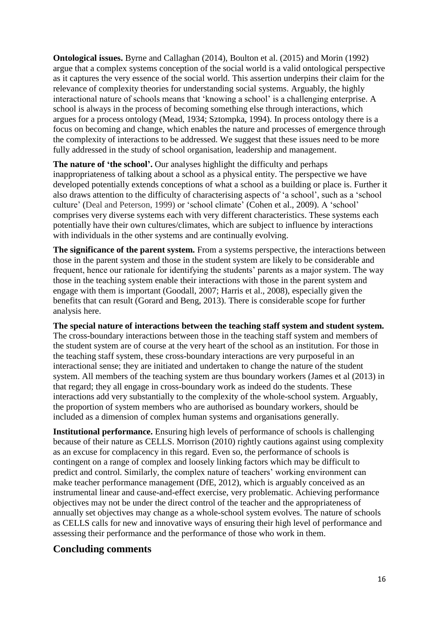**Ontological issues.** Byrne and Callaghan (2014), Boulton et al. (2015) and Morin (1992) argue that a complex systems conception of the social world is a valid ontological perspective as it captures the very essence of the social world. This assertion underpins their claim for the relevance of complexity theories for understanding social systems. Arguably, the highly interactional nature of schools means that 'knowing a school' is a challenging enterprise. A school is always in the process of becoming something else through interactions, which argues for a process ontology (Mead, 1934; Sztompka, 1994). In process ontology there is a focus on becoming and change, which enables the nature and processes of emergence through the complexity of interactions to be addressed. We suggest that these issues need to be more fully addressed in the study of school organisation, leadership and management.

**The nature of 'the school'.** Our analyses highlight the difficulty and perhaps inappropriateness of talking about a school as a physical entity. The perspective we have developed potentially extends conceptions of what a school as a building or place is. Further it also draws attention to the difficulty of characterising aspects of 'a school', such as a 'school culture' (Deal and Peterson, 1999) or 'school climate' (Cohen et al., 2009). A 'school' comprises very diverse systems each with very different characteristics. These systems each potentially have their own cultures/climates, which are subject to influence by interactions with individuals in the other systems and are continually evolving.

**The significance of the parent system.** From a systems perspective, the interactions between those in the parent system and those in the student system are likely to be considerable and frequent, hence our rationale for identifying the students' parents as a major system. The way those in the teaching system enable their interactions with those in the parent system and engage with them is important (Goodall, 2007; Harris et al., 2008), especially given the benefits that can result (Gorard and Beng, 2013). There is considerable scope for further analysis here.

**The special nature of interactions between the teaching staff system and student system.**  The cross-boundary interactions between those in the teaching staff system and members of the student system are of course at the very heart of the school as an institution. For those in the teaching staff system, these cross-boundary interactions are very purposeful in an interactional sense; they are initiated and undertaken to change the nature of the student system. All members of the teaching system are thus boundary workers (James et al (2013) in that regard; they all engage in cross-boundary work as indeed do the students. These interactions add very substantially to the complexity of the whole-school system. Arguably, the proportion of system members who are authorised as boundary workers, should be included as a dimension of complex human systems and organisations generally.

**Institutional performance.** Ensuring high levels of performance of schools is challenging because of their nature as CELLS. Morrison (2010) rightly cautions against using complexity as an excuse for complacency in this regard. Even so, the performance of schools is contingent on a range of complex and loosely linking factors which may be difficult to predict and control. Similarly, the complex nature of teachers' working environment can make teacher performance management (DfE, 2012), which is arguably conceived as an instrumental linear and cause-and-effect exercise, very problematic. Achieving performance objectives may not be under the direct control of the teacher and the appropriateness of annually set objectives may change as a whole-school system evolves. The nature of schools as CELLS calls for new and innovative ways of ensuring their high level of performance and assessing their performance and the performance of those who work in them.

# **Concluding comments**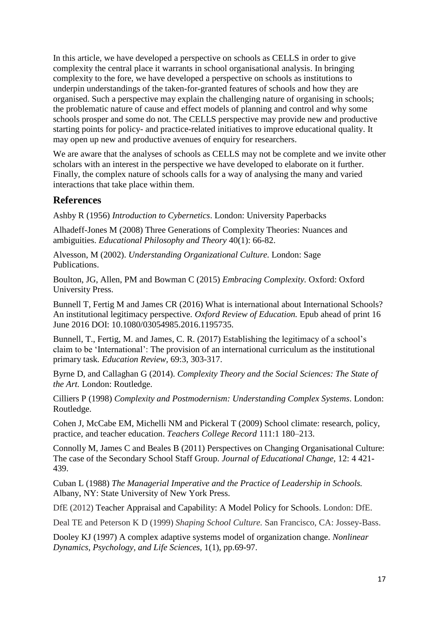In this article, we have developed a perspective on schools as CELLS in order to give complexity the central place it warrants in school organisational analysis. In bringing complexity to the fore, we have developed a perspective on schools as institutions to underpin understandings of the taken-for-granted features of schools and how they are organised. Such a perspective may explain the challenging nature of organising in schools; the problematic nature of cause and effect models of planning and control and why some schools prosper and some do not. The CELLS perspective may provide new and productive starting points for policy- and practice-related initiatives to improve educational quality. It may open up new and productive avenues of enquiry for researchers.

We are aware that the analyses of schools as CELLS may not be complete and we invite other scholars with an interest in the perspective we have developed to elaborate on it further. Finally, the complex nature of schools calls for a way of analysing the many and varied interactions that take place within them.

# **References**

Ashby R (1956) *Introduction to Cybernetics*. London: University Paperbacks

Alhadeff-Jones M (2008) Three Generations of Complexity Theories: Nuances and ambiguities. *Educational Philosophy and Theory* 40(1): 66-82.

Alvesson, M (2002). *Understanding Organizational Culture.* London: Sage Publications.

Boulton, JG, Allen, PM and Bowman C (2015) *Embracing Complexity.* Oxford: Oxford University Press.

Bunnell T, Fertig M and James CR (2016) What is international about International Schools? An institutional legitimacy perspective. *Oxford Review of Education.* Epub ahead of print 16 June 2016 DOI: 10.1080/03054985.2016.1195735.

Bunnell, T., Fertig, M. and James, C. R. (2017) Establishing the legitimacy of a school's claim to be 'International': The provision of an international curriculum as the institutional primary task*. Education Review,* 69:3, 303-317.

Byrne D, and Callaghan G (2014). *Complexity Theory and the Social Sciences: The State of the Art.* London: Routledge.

Cilliers P (1998) *Complexity and Postmodernism: Understanding Complex Systems*. London: Routledge.

Cohen J, McCabe EM, Michelli NM and Pickeral T (2009) School climate: research, policy, practice, and teacher education. *Teachers College Record* 111:1 180–213.

Connolly M, James C and Beales B (2011) Perspectives on Changing Organisational Culture: The case of the Secondary School Staff Group. *Journal of Educational Change,* 12: 4 421- 439.

Cuban L (1988) *The Managerial Imperative and the Practice of Leadership in Schools.*  Albany, NY: State University of New York Press.

DfE (2012) Teacher Appraisal and Capability: A Model Policy for Schools. London: DfE.

Deal TE and Peterson K D (1999) *Shaping School Culture.* San Francisco, CA: Jossey-Bass.

Dooley KJ (1997) A complex adaptive systems model of organization change. *Nonlinear Dynamics, Psychology, and Life Sciences,* 1(1), pp.69-97.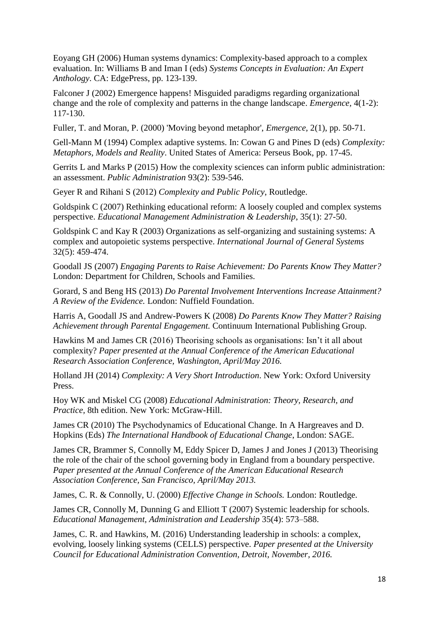Eoyang GH (2006) Human systems dynamics: Complexity-based approach to a complex evaluation. In: Williams B and Iman I (eds) *Systems Concepts in Evaluation: An Expert Anthology*. CA: EdgePress, pp. 123-139.

Falconer J (2002) Emergence happens! Misguided paradigms regarding organizational change and the role of complexity and patterns in the change landscape. *Emergence,* 4(1-2): 117-130.

Fuller, T. and Moran, P. (2000) 'Moving beyond metaphor', *Emergence,* 2(1), pp. 50-71.

Gell-Mann M (1994) Complex adaptive systems. In: Cowan G and Pines D (eds) *Complexity: Metaphors, Models and Reality*. United States of America: Perseus Book, pp. 17-45.

Gerrits L and Marks P (2015) How the complexity sciences can inform public administration: an assessment. *Public Administration* 93(2): 539-546.

Geyer R and Rihani S (2012) *Complexity and Public Policy*, Routledge.

Goldspink C (2007) Rethinking educational reform: A loosely coupled and complex systems perspective. *Educational Management Administration & Leadership*, 35(1): 27-50.

Goldspink C and Kay R (2003) Organizations as self-organizing and sustaining systems: A complex and autopoietic systems perspective. *International Journal of General Systems* 32(5): 459-474.

[Goodall](http://opus.bath.ac.uk/view/person_id/7686.html) JS (2007) *[Engaging Parents to Raise Achievement: Do Parents Know They Matter?](http://opus.bath.ac.uk/39602/)* London: Department for Children, Schools and Families.

Gorard, S and Beng HS (2013) *Do Parental Involvement Interventions Increase Attainment? A Review of the Evidence.* London: Nuffield Foundation.

Harris A, [Goodall JS](http://opus.bath.ac.uk/view/person_id/7686.html) and Andrew-Powers K (2008) *[Do Parents Know They Matter? Raising](http://opus.bath.ac.uk/36990/)  [Achievement through Parental Engagement.](http://opus.bath.ac.uk/36990/)* Continuum International Publishing Group.

Hawkins M and James CR (2016) Theorising schools as organisations: Isn't it all about complexity? *Paper presented at the Annual Conference of the American Educational Research Association Conference, Washington, April/May 2016.* 

Holland JH (2014) *Complexity: A Very Short Introduction*. New York: Oxford University Press.

Hoy WK and Miskel CG (2008) *Educational Administration: Theory, Research, and Practice,* 8th edition. New York: McGraw-Hill.

James CR (2010) The Psychodynamics of Educational Change. In A Hargreaves and D. Hopkins (Eds) *The International Handbook of Educational Change*, London: SAGE.

James CR, Brammer S, Connolly M, Eddy Spicer D, James J and Jones J (2013) Theorising the role of the chair of the school governing body in England from a boundary perspective. *Paper presented at the Annual Conference of the American Educational Research Association Conference, San Francisco, April/May 2013.* 

James, C. R. & Connolly, U. (2000) *Effective Change in Schools.* London: Routledge.

James CR, Connolly M, Dunning G and Elliott T (2007) Systemic leadership for schools. *Educational Management, Administration and Leadership* 35(4): 573–588.

James, C. R. and Hawkins, M. (2016) Understanding leadership in schools: a complex, evolving, loosely linking systems (CELLS) perspective. *Paper presented at the University Council for Educational Administration Convention, Detroit, November, 2016.*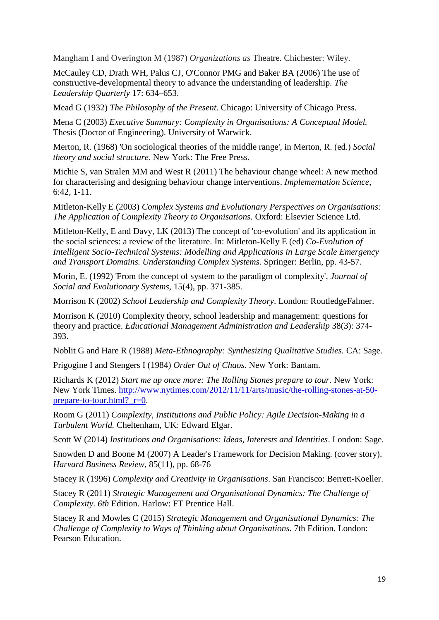Mangham I and Overington M (1987) *Organizations as* Theatre. Chichester: Wiley.

McCauley CD, Drath WH, Palus CJ, O'Connor PMG and Baker BA (2006) The use of constructive-developmental theory to advance the understanding of leadership. *The Leadership Quarterly* 17: 634–653.

Mead G (1932) *The Philosophy of the Present*. Chicago: University of Chicago Press.

Mena C (2003) *Executive Summary: Complexity in Organisations: A Conceptual Model.*  Thesis (Doctor of Engineering). University of Warwick.

Merton, R. (1968) 'On sociological theories of the middle range', in Merton, R. (ed.) *Social theory and social structure*. New York: The Free Press.

Michie S, van Stralen MM and West R (2011) The behaviour change wheel: A new method for characterising and designing behaviour change interventions. *Implementation Science*, 6:42, 1-11.

Mitleton-Kelly E (2003) *Complex Systems and Evolutionary Perspectives on Organisations: The Application of Complexity Theory to Organisations.* Oxford: Elsevier Science Ltd.

Mitleton-Kelly, E and Davy, LK (2013) [The concept of 'co-evolution' and its application in](http://eprints.lse.ac.uk/51378/)  [the social sciences: a review of the literature.](http://eprints.lse.ac.uk/51378/) In: Mitleton-Kelly E (ed) *Co-Evolution of Intelligent Socio-Technical Systems: Modelling and Applications in Large Scale Emergency and Transport Domains. Understanding Complex Systems.* Springer: Berlin, pp. 43-57.

Morin, E. (1992) 'From the concept of system to the paradigm of complexity', *Journal of Social and Evolutionary Systems,* 15(4), pp. 371-385.

Morrison K (2002) *School Leadership and Complexity Theory*. London: RoutledgeFalmer.

Morrison K (2010) Complexity theory, school leadership and management: questions for theory and practice. *Educational Management Administration and Leadership* 38(3): 374- 393.

Noblit G and Hare R (1988) *Meta-Ethnography: Synthesizing Qualitative Studies.* CA: Sage.

Prigogine I and Stengers I (1984) *Order Out of Chaos.* New York: Bantam.

Richards K (2012) *Start me up once more: The Rolling Stones prepare to tour.* New York: New York Times. [http://www.nytimes.com/2012/11/11/arts/music/the-rolling-stones-at-50](http://www.nytimes.com/2012/11/11/arts/music/the-rolling-stones-at-50-prepare-to-tour.html?_r=0) prepare-to-tour.html?  $r=0$ .

Room G (2011) *Complexity, Institutions and Public Policy: Agile Decision-Making in a Turbulent World.* Cheltenham, UK: Edward Elgar.

Scott W (2014) *Institutions and Organisations: Ideas, Interests and Identities*. London: Sage.

Snowden D and Boone M (2007) A Leader's Framework for Decision Making. (cover story). *Harvard Business Review,* 85(11), pp. 68-76

Stacey R (1996) *Complexity and Creativity in Organisations*. San Francisco: Berrett-Koeller.

Stacey R (2011) *Strategic Management and Organisational Dynamics: The Challenge of Complexity. 6th* Edition. Harlow: FT Prentice Hall.

Stacey R and Mowles C (2015) *Strategic Management and Organisational Dynamics: The Challenge of Complexity to Ways of Thinking about Organisations.* 7th Edition. London: Pearson Education.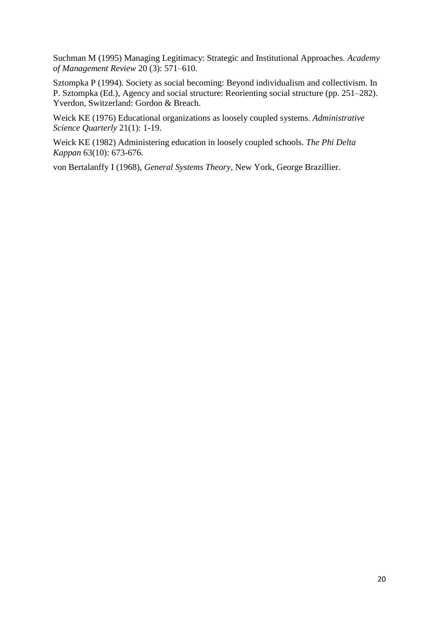Suchman M (1995) Managing Legitimacy: Strategic and Institutional Approaches. *Academy of Management Review* 20 (3): 571–610.

Sztompka P (1994). Society as social becoming: Beyond individualism and collectivism. In P. Sztompka (Ed.), Agency and social structure: Reorienting social structure (pp. 251–282). Yverdon, Switzerland: Gordon & Breach.

Weick KE (1976) Educational organizations as loosely coupled systems. *Administrative Science Quarterly* 21(1): 1-19.

Weick KE (1982) Administering education in loosely coupled schools. *The Phi Delta Kappan* 63(10): 673-676.

von Bertalanffy I (1968), *General Systems Theory,* New York, George Brazillier.